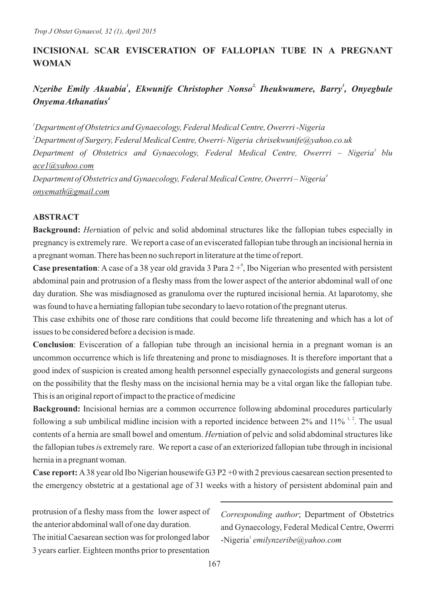# **INCISIONAL SCAR EVISCERATION OF FALLOPIAN TUBE IN A PREGNANT WOMAN**

# *Nzeribe Emily Akuabia<sup>1</sup>, Ekwunife Christopher Nonso<sup>2</sup> Iheukwumere, Barry<sup>3</sup>, Onyegbule <sup>4</sup> Onyema Athanatius*

*Department of Obstetrics and Gynaecology, Federal Medical Centre, Owerrri -Nigeria Department of Surgery, Federal Medical Centre, Owerri- Nigeria chrisekwunife@yahoo.co.uk Department of Obstetrics and Gynaecology, Federal Medical Centre, Owerrri – Nigeria blu ace1@yahoo.com Department of Obstetrics and Gynaecology, Federal Medical Centre, Owerrri – Nigeria onyemath@gmail.com*

# **ABSTRACT**

**Background:** *Her*niation of pelvic and solid abdominal structures like the fallopian tubes especially in pregnancy is extremely rare. We report a case of an eviscerated fallopian tube through an incisional hernia in a pregnant woman. There has been no such report in literature at the time of report.

**Case presentation**: A case of a 38 year old gravida 3 Para  $2 + \frac{1}{2}$ , Ibo Nigerian who presented with persistent abdominal pain and protrusion of a fleshy mass from the lower aspect of the anterior abdominal wall of one day duration. She was misdiagnosed as granuloma over the ruptured incisional hernia. At laparotomy, she was found to have a herniating fallopian tube secondary to laevo rotation of the pregnant uterus.

This case exhibits one of those rare conditions that could become life threatening and which has a lot of issues to be considered before a decision is made.

**Conclusion**: Evisceration of a fallopian tube through an incisional hernia in a pregnant woman is an uncommon occurrence which is life threatening and prone to misdiagnoses. It is therefore important that a good index of suspicion is created among health personnel especially gynaecologists and general surgeons on the possibility that the fleshy mass on the incisional hernia may be a vital organ like the fallopian tube. This is an original report of impact to the practice of medicine

**Background:** Incisional hernias are a common occurrence following abdominal procedures particularly following a sub umbilical midline incision with a reported incidence between  $2\%$  and  $11\%$ <sup>1, 2</sup>. The usual contents of a hernia are small bowel and omentum. *Her*niation of pelvic and solid abdominal structures like the fallopian tubes *i*s extremely rare. We report a case of an exteriorized fallopian tube through in incisional hernia in a pregnant woman.

**Case report:** A38 year old Ibo Nigerian housewife G3 P2 +0 with 2 previous caesarean section presented to the emergency obstetric at a gestational age of 31 weeks with a history of persistent abdominal pain and

protrusion of a fleshy mass from the lower aspect of the anterior abdominal wall of one day duration. The initial Caesarean section was for prolonged labor 3 years earlier. Eighteen months prior to presentation

*Corresponding author*; Department of Obstetrics and Gynaecology, Federal Medical Centre, Owerrri <sup>1</sup>-Nigeria *emilynzeribe@yahoo.com*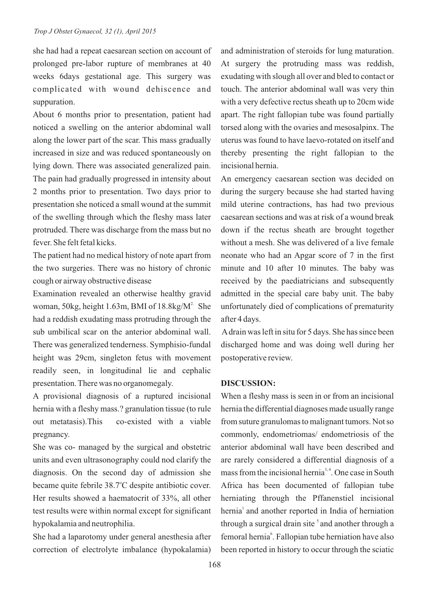she had had a repeat caesarean section on account of prolonged pre-labor rupture of membranes at 40 weeks 6days gestational age. This surgery was complicated with wound dehiscence and suppuration.

About 6 months prior to presentation, patient had noticed a swelling on the anterior abdominal wall along the lower part of the scar. This mass gradually increased in size and was reduced spontaneously on lying down. There was associated generalized pain. The pain had gradually progressed in intensity about 2 months prior to presentation. Two days prior to presentation she noticed a small wound at the summit of the swelling through which the fleshy mass later protruded. There was discharge from the mass but no fever. She felt fetal kicks.

The patient had no medical history of note apart from the two surgeries. There was no history of chronic cough or airway obstructive disease

Examination revealed an otherwise healthy gravid woman, 50kg, height 1.63m, BMI of  $18.8$ kg/M<sup>2</sup> She had a reddish exudating mass protruding through the sub umbilical scar on the anterior abdominal wall. There was generalized tenderness. Symphisio-fundal height was 29cm, singleton fetus with movement readily seen, in longitudinal lie and cephalic presentation. There was no organomegaly.

A provisional diagnosis of a ruptured incisional hernia with a fleshy mass.? granulation tissue (to rule out metatasis).This co-existed with a viable pregnancy.

She was co- managed by the surgical and obstetric units and even ultrasonography could nod clarify the diagnosis. On the second day of admission she became quite febrile 38.7°C despite antibiotic cover. Her results showed a haematocrit of 33%, all other test results were within normal except for significant hypokalamia and neutrophilia.

She had a laparotomy under general anesthesia after correction of electrolyte imbalance (hypokalamia) and administration of steroids for lung maturation. At surgery the protruding mass was reddish, exudating with slough all over and bled to contact or touch. The anterior abdominal wall was very thin with a very defective rectus sheath up to 20cm wide apart. The right fallopian tube was found partially torsed along with the ovaries and mesosalpinx. The uterus was found to have laevo-rotated on itself and thereby presenting the right fallopian to the incisional hernia.

An emergency caesarean section was decided on during the surgery because she had started having mild uterine contractions, has had two previous caesarean sections and was at risk of a wound break down if the rectus sheath are brought together without a mesh. She was delivered of a live female neonate who had an Apgar score of 7 in the first minute and 10 after 10 minutes. The baby was received by the paediatricians and subsequently admitted in the special care baby unit. The baby unfortunately died of complications of prematurity after 4 days.

Adrain was left in situ for 5 days. She has since been discharged home and was doing well during her postoperative review.

#### **DISCUSSION:**

When a fleshy mass is seen in or from an incisional hernia the differential diagnoses made usually range from suture granulomas to malignant tumors. Not so commonly, endometriomas/ endometriosis of the anterior abdominal wall have been described and are rarely considered a differential diagnosis of a mass from the incisional hernia<sup> $3, 4$ </sup>. One case in South Africa has been documented of fallopian tube herniating through the Pffanenstiel incisional hernia<sup>1</sup> and another reported in India of herniation through a surgical drain site  $\delta$  and another through a femoral hernia<sup>6</sup>. Fallopian tube herniation have also been reported in history to occur through the sciatic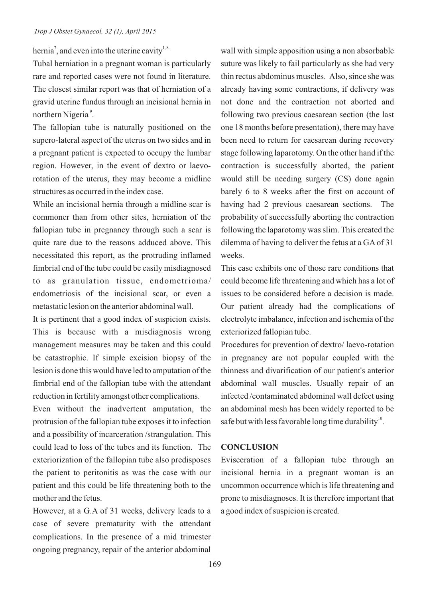hernia<sup>7</sup>, and even into the uterine cavity<sup>1,8.</sup>

Tubal herniation in a pregnant woman is particularly rare and reported cases were not found in literature. The closest similar report was that of herniation of a gravid uterine fundus through an incisional hernia in northern Nigeria<sup>9</sup>.

The fallopian tube is naturally positioned on the supero-lateral aspect of the uterus on two sides and in a pregnant patient is expected to occupy the lumbar region. However, in the event of dextro or laevorotation of the uterus, they may become a midline structures as occurred in the index case.

While an incisional hernia through a midline scar is commoner than from other sites, herniation of the fallopian tube in pregnancy through such a scar is quite rare due to the reasons adduced above. This necessitated this report, as the protruding inflamed fimbrial end of the tube could be easily misdiagnosed to as granulation tissue, endometrioma/ endometriosis of the incisional scar, or even a metastatic lesion on the anterior abdominal wall.

It is pertinent that a good index of suspicion exists. This is because with a misdiagnosis wrong management measures may be taken and this could be catastrophic. If simple excision biopsy of the lesion is done this would have led to amputation of the fimbrial end of the fallopian tube with the attendant reduction in fertility amongst other complications.

Even without the inadvertent amputation, the protrusion of the fallopian tube exposes it to infection and a possibility of incarceration /strangulation. This could lead to loss of the tubes and its function. The exteriorization of the fallopian tube also predisposes the patient to peritonitis as was the case with our patient and this could be life threatening both to the mother and the fetus.

However, at a G.A of 31 weeks, delivery leads to a case of severe prematurity with the attendant complications. In the presence of a mid trimester ongoing pregnancy, repair of the anterior abdominal

wall with simple apposition using a non absorbable suture was likely to fail particularly as she had very thin rectus abdominus muscles. Also, since she was already having some contractions, if delivery was not done and the contraction not aborted and following two previous caesarean section (the last one 18 months before presentation), there may have been need to return for caesarean during recovery stage following laparotomy. On the other hand if the contraction is successfully aborted, the patient would still be needing surgery (CS) done again barely 6 to 8 weeks after the first on account of having had 2 previous caesarean sections. The probability of successfully aborting the contraction following the laparotomy was slim. This created the dilemma of having to deliver the fetus at a GAof 31 weeks.

This case exhibits one of those rare conditions that could become life threatening and which has a lot of issues to be considered before a decision is made. Our patient already had the complications of electrolyte imbalance, infection and ischemia of the exteriorized fallopian tube.

Procedures for prevention of dextro/ laevo-rotation in pregnancy are not popular coupled with the thinness and divarification of our patient's anterior abdominal wall muscles. Usually repair of an infected /contaminated abdominal wall defect using an abdominal mesh has been widely reported to be safe but with less favorable long time durability $^{10}$ .

### **CONCLUSION**

Evisceration of a fallopian tube through an incisional hernia in a pregnant woman is an uncommon occurrence which is life threatening and prone to misdiagnoses. It is therefore important that a good index of suspicion is created.